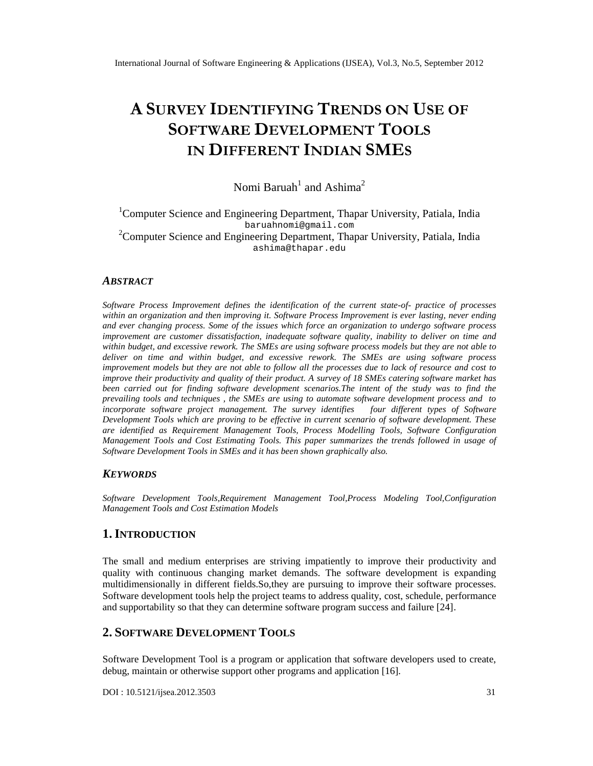# A SURVE **INDENTIFYINGENDS OUTSE OF** SOFTWARDEVELOPMENTOLS IN DIFFFRENT DIANS M B

## Nomi Baruah andAshima

## <sup>1</sup>ComputerScience an EngineeringDepartment ThaparUniversity, Patiala India [baruahnomi@gma](mailto:baruahnomi@gmail.com) il.com <sup>2</sup>Computer Science and Engineering Department apar University Patiala India [ashima@thapar.edu](mailto:ashima@thapar.edu)

## ABSTRACT

Software Process Improvement defines the identification of the currentostate actice of processes within an organization and then improving SoftwareProcess Improvement is evasting, neverending and ever changing rocess. Some fthe issues whictorce an organization to undergo software process improvement are customerissatisfaction, nadequatesoftware quality, inability to deliver on time and within budget, andexcessiveework. TheSMEs are using software process models but they are not able to deliver on time and withirbudget, andexcessiverework. The SMEs are using software proxe improvement models but they are not able to follow all the processes due to lack of resourcet and improve their productivity and quality of the product. Asurvey of 18 SMEs catering software market has been carried out for finding software dever ment scenariosThe intent of the study was to find the prevailing tools and techniques , the SMEs are using to automate software development process and to incorporate software project management. The survey identifiesur different types of Softwar DevelopmentTools which are proving to beffective in current scenario of software development. These are identified as Requirement Management Tools, Processelling Tools, Software Configuration Management Tools and Cost Estimating Tools. This papemarizes the trends lfowed in usage of Software Developmen Toolsin SMEs and it has been shown graphically a

## **KEYWORDS**

Software Development Tools,Requirement Management Tool,Process Modeling Tool,Configuration Management Tools and Cost EstimatModels

## 1.I NTRODUCTION

The small and medium enterprises are striving impatiently to improve their productivity and quality with continuous changing market demands. The software development is expanding multidimensionally in different fields. So, the yeapursuing to improve their software processes. Software development tools help the project teams to address quastity schedule performance and supportability so that they can determine software program success and failure [24] .

## 2.SOFTWARE DEVELOPM ENT TOOLS

Software Development Tool is a program or application that software developers used to create, debug,maintain or otherwise support other programs and application [16].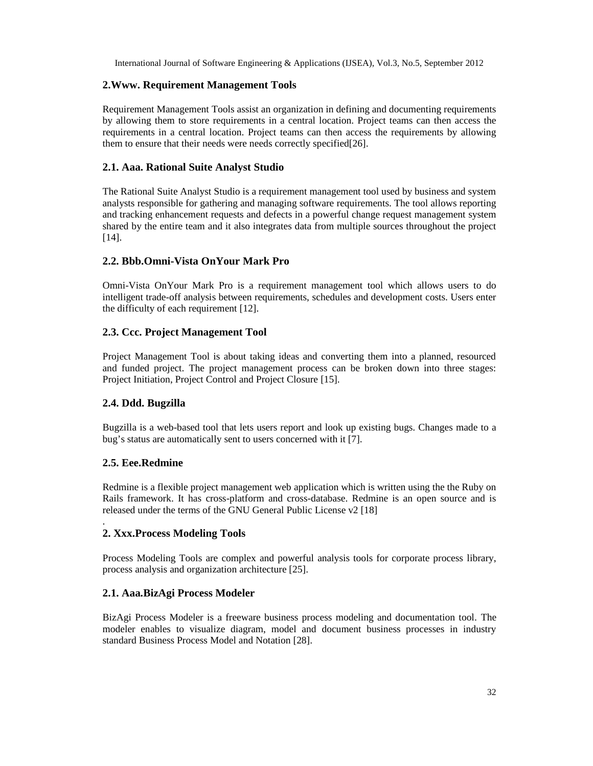## **2.Www. Requirement Management Tools**

Requirement Management Tools assist an organization in defining and documenting requirements by allowing them to store requirements in a central location. Project teams can then access the requirements in a central location. Project teams can then access the requirements by allowing them to ensure that their needs were needs correctly specified[26].

#### **2.1. Aaa. Rational Suite Analyst Studio**

The Rational Suite Analyst Studio is a requirement management tool used by business and system analysts responsible for gathering and managing software requirements. The tool allows reporting and tracking enhancement requests and defects in a powerful change request management system shared by the entire team and it also integrates data from multiple sources throughout the project [14].

## **2.2. Bbb.Omni-Vista OnYour Mark Pro**

Omni-Vista OnYour Mark Pro is a requirement management tool which allows users to do intelligent trade-off analysis between requirements, schedules and development costs. Users enter the difficulty of each requirement [12].

## **2.3. Ccc. Project Management Tool**

Project Management Tool is about taking ideas and converting them into a planned, resourced and funded project. The project management process can be broken down into three stages: Project Initiation, Project Control and Project Closure [15].

## **2.4. Ddd. Bugzilla**

Bugzilla is a web-based tool that lets users report and look up existing bugs. Changes made to a bug's status are automatically sent to users concerned with it [7].

#### **2.5. Eee.Redmine**

.

Redmine is a flexible project management web application which is written using the the Ruby on Rails framework. It has cross-platform and cross-database. Redmine is an open source and is released under the terms of the GNU General Public License v2 [18]

## **2. Xxx.Process Modeling Tools**

Process Modeling Tools are complex and powerful analysis tools for corporate process library, process analysis and organization architecture [25].

## **2.1. Aaa.BizAgi Process Modeler**

BizAgi Process Modeler is a freeware business process modeling and documentation tool. The modeler enables to visualize diagram, model and document business processes in industry standard Business Process Model and Notation [28].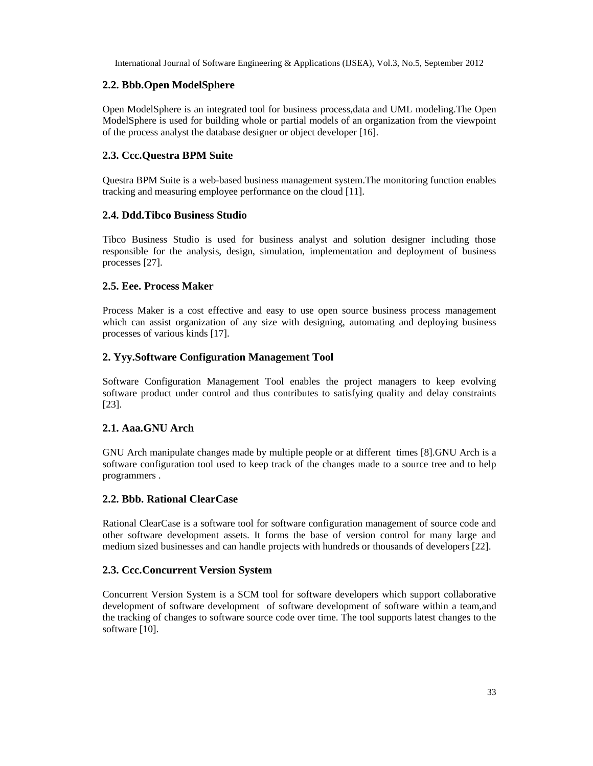## **2.2. Bbb.Open ModelSphere**

Open ModelSphere is an integrated tool for business process,data and UML modeling.The Open ModelSphere is used for building whole or partial models of an organization from the viewpoint of the process analyst the database designer or object developer [16].

## **2.3. Ccc.Questra BPM Suite**

Questra BPM Suite is a web-based business management system.The monitoring function enables tracking and measuring employee performance on the cloud [11].

## **2.4. Ddd.Tibco Business Studio**

Tibco Business Studio is used for business analyst and solution designer including those responsible for the analysis, design, simulation, implementation and deployment of business processes [27].

## **2.5. Eee. Process Maker**

Process Maker is a cost effective and easy to use open source business process management which can assist organization of any size with designing, automating and deploying business processes of various kinds [17].

## **2. Yyy.Software Configuration Management Tool**

Software Configuration Management Tool enables the project managers to keep evolving software product under control and thus contributes to satisfying quality and delay constraints [23].

## **2.1. Aaa.GNU Arch**

GNU Arch manipulate changes made by multiple people or at different times [8].GNU Arch is a software configuration tool used to keep track of the changes made to a source tree and to help programmers .

## **2.2. Bbb. Rational ClearCase**

Rational ClearCase is a software tool for software configuration management of source code and other software development assets. It forms the base of version control for many large and medium sized businesses and can handle projects with hundreds or thousands of developers [22].

## **2.3. Ccc.Concurrent Version System**

Concurrent Version System is a SCM tool for software developers which support collaborative development of software development of software development of software within a team,and the tracking of changes to software source code over time. The tool supports latest changes to the software [10].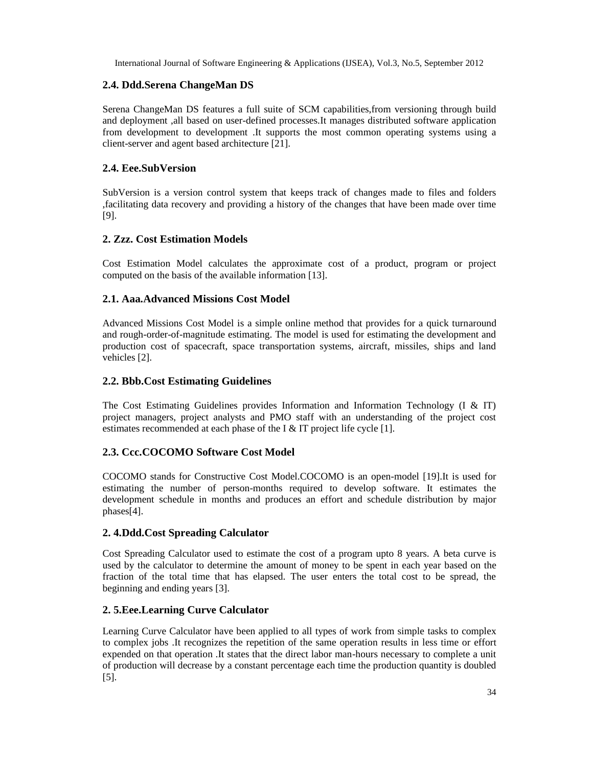## **2.4. Ddd.Serena ChangeMan DS**

Serena ChangeMan DS features a full suite of SCM capabilities,from versioning through build and deployment ,all based on user-defined processes.It manages distributed software application from development to development .It supports the most common operating systems using a client-server and agent based architecture [21].

## **2.4. Eee.SubVersion**

SubVersion is a version control system that keeps track of changes made to files and folders ,facilitating data recovery and providing a history of the changes that have been made over time [9].

## **2. Zzz. Cost Estimation Models**

Cost Estimation Model calculates the approximate cost of a product, program or project computed on the basis of the available information [13].

## **2.1. Aaa.Advanced Missions Cost Model**

Advanced Missions Cost Model is a simple online method that provides for a quick turnaround and rough-order-of-magnitude estimating. The model is used for estimating the development and production cost of spacecraft, space transportation systems, aircraft, missiles, ships and land vehicles [2].

## **2.2. Bbb.Cost Estimating Guidelines**

The Cost Estimating Guidelines provides Information and Information Technology (I & IT) project managers, project analysts and PMO staff with an understanding of the project cost estimates recommended at each phase of the I & IT project life cycle [1].

## **2.3. Ccc.COCOMO Software Cost Model**

COCOMO stands for Constructive Cost Model.COCOMO is an open-model [19].It is used for estimating the number of person-months required to develop software. It estimates the development schedule in months and produces an effort and schedule distribution by major phases[4].

## **2. 4.Ddd.Cost Spreading Calculator**

Cost Spreading Calculator used to estimate the cost of a program upto 8 years. A beta curve is used by the calculator to determine the amount of money to be spent in each year based on the fraction of the total time that has elapsed. The user enters the total cost to be spread, the beginning and ending years [3].

## **2. 5.Eee.Learning Curve Calculator**

Learning Curve Calculator have been applied to all types of work from simple tasks to complex to complex jobs .It recognizes the repetition of the same operation results in less time or effort expended on that operation .It states that the direct labor man-hours necessary to complete a unit of production will decrease by a constant percentage each time the production quantity is doubled [5].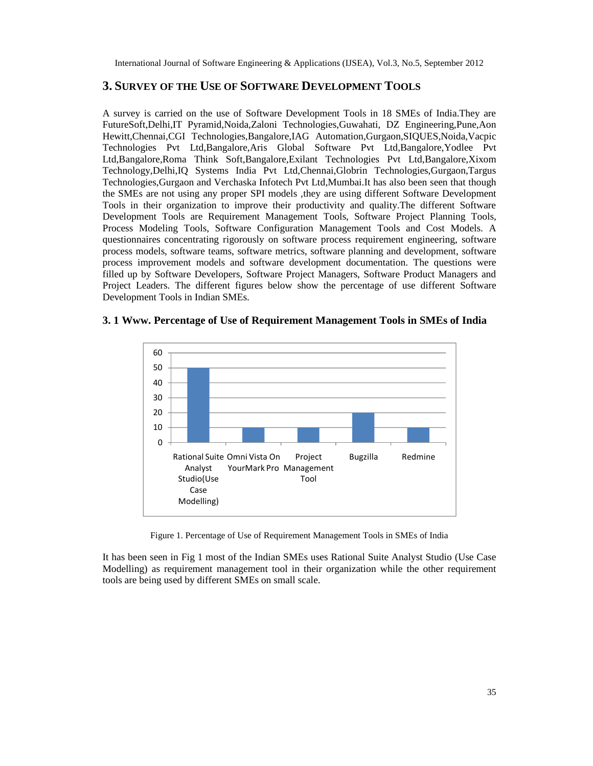## **3. SURVEY OF THE USE OF SOFTWARE DEVELOPMENT TOOLS**

A survey is carried on the use of Software Development Tools in 18 SMEs of India.They are FutureSoft,Delhi,IT Pyramid,Noida,Zaloni Technologies,Guwahati, DZ Engineering,Pune,Aon Hewitt,Chennai,CGI Technologies,Bangalore,IAG Automation,Gurgaon,SIQUES,Noida,Vacpic Technologies Pvt Ltd,Bangalore,Aris Global Software Pvt Ltd,Bangalore,Yodlee Pvt Ltd,Bangalore,Roma Think Soft,Bangalore,Exilant Technologies Pvt Ltd,Bangalore,Xixom Technology,Delhi,IQ Systems India Pvt Ltd,Chennai,Globrin Technologies,Gurgaon,Targus Technologies,Gurgaon and Verchaska Infotech Pvt Ltd,Mumbai.It has also been seen that though the SMEs are not using any proper SPI models ,they are using different Software Development Tools in their organization to improve their productivity and quality.The different Software Development Tools are Requirement Management Tools, Software Project Planning Tools, Process Modeling Tools, Software Configuration Management Tools and Cost Models. A questionnaires concentrating rigorously on software process requirement engineering, software process models, software teams, software metrics, software planning and development, software process improvement models and software development documentation. The questions were filled up by Software Developers, Software Project Managers, Software Product Managers and Project Leaders. The different figures below show the percentage of use different Software Development Tools in Indian SMEs.

#### **3. 1 Www. Percentage of Use of Requirement Management Tools in SMEs of India**



Figure 1. Percentage of Use of Requirement Management Tools in SMEs of India

It has been seen in Fig 1 most of the Indian SMEs uses Rational Suite Analyst Studio (Use Case Modelling) as requirement management tool in their organization while the other requirement tools are being used by different SMEs on small scale.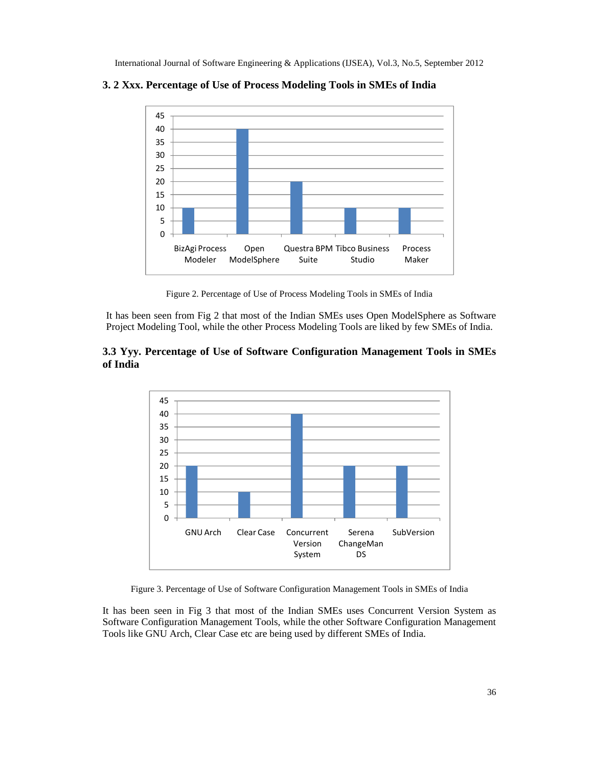

**3. 2 Xxx. Percentage of Use of Process Modeling Tools in SMEs of India**

Figure 2. Percentage of Use of Process Modeling Tools in SMEs of India

It has been seen from Fig 2 that most of the Indian SMEs uses Open ModelSphere as Software Project Modeling Tool, while the other Process Modeling Tools are liked by few SMEs of India.





Figure 3. Percentage of Use of Software Configuration Management Tools in SMEs of India

It has been seen in Fig 3 that most of the Indian SMEs uses Concurrent Version System as Software Configuration Management Tools, while the other Software Configuration Management Tools like GNU Arch, Clear Case etc are being used by different SMEs of India.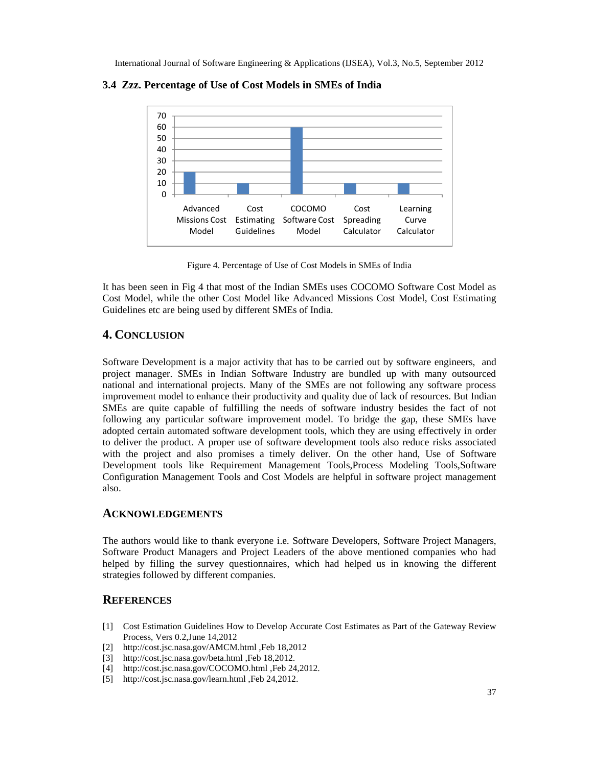



Figure 4 Percentage of Use Cotost Models in SMEs of India

It has been seen in Fig 4 that most of the Indian SMEs uses COCOMO Software Cost Model as Cost Model, while the other Cost Model like Advanced Missions Cost Model, Cost Estimating Guidelines etc are being used by different SMEs of India.

## 4.CONCLUSION

Software Development is a major timity that has to be carried out by favore engineers, and project manager. SMEs in Indian Software Industry are bundled up with many outsourced national and international projects. Many of the SMEs are not following any software process improvement model to enhance their productivity and in due of lack bresources But Indian SMEs are quite capable of fulfilling the needs of software industry besides the fact of not following any particular software improvement mod $E$  bridge the gap, these SMEs have adopted certain automated software development, toolish they are using effectively in order to deliver the product. Aproper use of software development to also reduce risks associated with the project and also promises a timely deliven the other hand. Use of Software Development tools like Requiement Management Tools, Process Modeling Tools, Software Configuration Management Tools and Cost Moder's helpful in software project management also.

## ACKNOWLEDGEMENTS

The authors would like to thank everyone Software Developers, Software Project Magers, Software Product Managers and Project Leaders of the above mentioned companies who had helped by filling the survey questionnaires hich had helped us in knowing the different strategies followed by different companies.

## **REFERENCES**

- [1] Cost Estimation Guidelines How to Develop Accurate Cost Estimates as Part of the Gateway Review Process, Vers 0.2,June 14,2012
- [2] [http://cost.jsc.nasa.gov/AMCM.htm](http://cost.jsc.nasa.gov/AMCM.html)l ,Feb 18,2012
- [3] [http://cost.jsc.nasa.gov/beta.h](http://cost.jsc.nasa.gov/beta.html)tml ,Feb 18,2012.
- [4] http://cost.jsc.nasa.gov/COCOD.html ,Feb 24,2012.
- [5] http://cost.jsc.nasa.gov/learn.html ,Feb 24,2012.